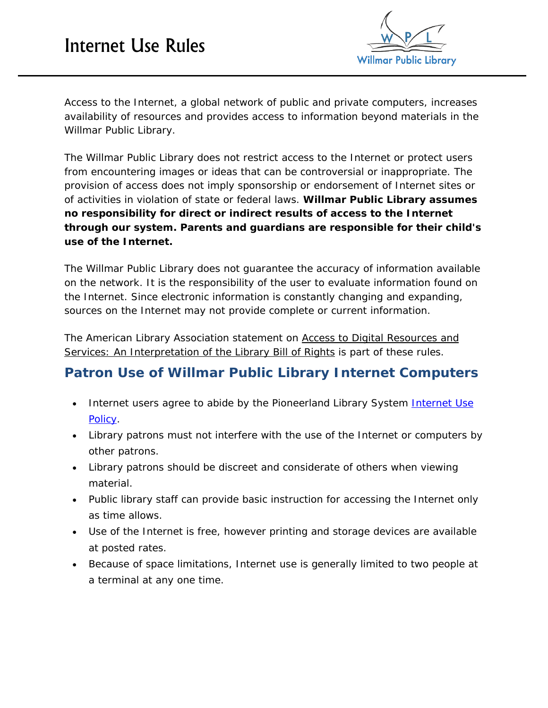## Internet Use Rules



Access to the Internet, a global network of public and private computers, increases availability of resources and provides access to information beyond materials in the Willmar Public Library.

The Willmar Public Library does not restrict access to the Internet or protect users from encountering images or ideas that can be controversial or inappropriate. The provision of access does not imply sponsorship or endorsement of Internet sites or of activities in violation of state or federal laws. *Willmar Public Library assumes no responsibility for direct or indirect results of access to the Internet through our system. Parents and guardians are responsible for their child's use of the Internet.*

The Willmar Public Library does not guarantee the accuracy of information available on the network. It is the responsibility of the user to evaluate information found on the Internet. Since electronic information is constantly changing and expanding, sources on the Internet may not provide complete or current information.

The American Library Association statement on [Access to Digital Resources and](http://www.ala.org/advocacy/intfreedom/librarybill/interpretations/digital)  [Services: An Interpretation of the Library Bill of Rights](http://www.ala.org/advocacy/intfreedom/librarybill/interpretations/digital) is part of these rules.

## **Patron Use of Willmar Public Library Internet Computers**

- Internet users agree to abide by the Pioneerland Library System Internet Use [Policy.](https://www.pioneerland.lib.mn.us/PLS_Site/Policies/Internet%20Use%20Policy%20%282%29.pdf)
- Library patrons must not interfere with the use of the Internet or computers by other patrons.
- Library patrons should be discreet and considerate of others when viewing material.
- Public library staff can provide basic instruction for accessing the Internet only as time allows.
- Use of the Internet is free, however printing and storage devices are available at posted rates.
- Because of space limitations, Internet use is generally limited to two people at a terminal at any one time.